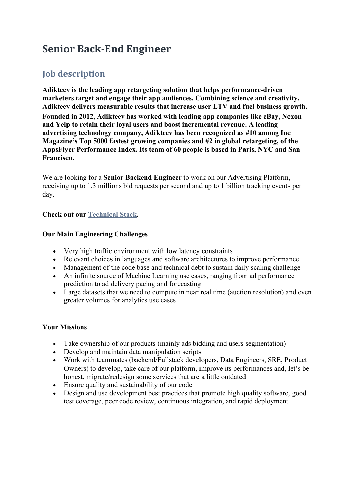# **Senior Back-End Engineer**

## **Job description**

**Adikteev is the leading app retargeting solution that helps performance-driven marketers target and engage their app audiences. Combining science and creativity, Adikteev delivers measurable results that increase user LTV and fuel business growth. Founded in 2012, Adikteev has worked with leading app companies like eBay, Nexon and Yelp to retain their loyal users and boost incremental revenue. A leading advertising technology company, Adikteev has been recognized as #10 among Inc Magazine's Top 5000 fastest growing companies and #2 in global retargeting, of the AppsFlyer Performance Index. Its team of 60 people is based in Paris, NYC and San Francisco.**

We are looking for a **Senior Backend Engineer** to work on our Advertising Platform, receiving up to 1.3 millions bid requests per second and up to 1 billion tracking events per day.

#### **Check out our Technical Stack.**

#### **Our Main Engineering Challenges**

- Very high traffic environment with low latency constraints
- Relevant choices in languages and software architectures to improve performance
- Management of the code base and technical debt to sustain daily scaling challenge
- An infinite source of Machine Learning use cases, ranging from ad performance prediction to ad delivery pacing and forecasting
- Large datasets that we need to compute in near real time (auction resolution) and even greater volumes for analytics use cases

#### **Your Missions**

- Take ownership of our products (mainly ads bidding and users segmentation)
- Develop and maintain data manipulation scripts
- Work with teammates (backend/Fullstack developers, Data Engineers, SRE, Product Owners) to develop, take care of our platform, improve its performances and, let's be honest, migrate/redesign some services that are a little outdated
- Ensure quality and sustainability of our code
- Design and use development best practices that promote high quality software, good test coverage, peer code review, continuous integration, and rapid deployment